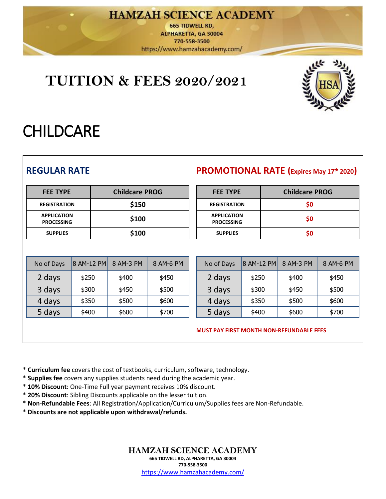### **HAMZAH SCIENCE ACADEMY**

**665 TIDWELL RD,** ALPHARETTA, GA 30004 770-558-3500 https://www.hamzahacademy.com/

## **TUITION & FEES 2020/2021**



# **CHILDCARE**

| <b>REGULAR RATE</b>                      |            |           |                 |                                         |                       |                                                 | <b>PROMOTIONAL RATE (Expires May 17th 2020)</b> |
|------------------------------------------|------------|-----------|-----------------|-----------------------------------------|-----------------------|-------------------------------------------------|-------------------------------------------------|
| <b>Childcare PROG</b><br><b>FEE TYPE</b> |            |           | <b>FEE TYPE</b> |                                         | <b>Childcare PROG</b> |                                                 |                                                 |
| <b>REGISTRATION</b>                      |            | \$150     |                 | <b>REGISTRATION</b>                     |                       | \$0                                             |                                                 |
| <b>APPLICATION</b><br><b>PROCESSING</b>  |            | \$100     |                 | <b>APPLICATION</b><br><b>PROCESSING</b> |                       | \$0                                             |                                                 |
| <b>SUPPLIES</b>                          |            | \$100     |                 | <b>SUPPLIES</b>                         |                       | \$0                                             |                                                 |
| No of Days                               | 8 AM-12 PM | 8 AM-3 PM | 8 AM-6 PM       | No of Days                              | 8 AM-12 PM            | 8 AM-3 PM                                       | 8 AM-6 PM                                       |
| 2 days                                   | \$250      | \$400     | \$450           | 2 days                                  | \$250                 | \$400                                           | \$450                                           |
| 3 days                                   | \$300      | \$450     | \$500           | 3 days                                  | \$300                 | \$450                                           | \$500                                           |
| 4 days                                   | \$350      | \$500     | \$600           | 4 days                                  | \$350                 | \$500                                           | \$600                                           |
| 5 days                                   | \$400      | \$600     | \$700           | 5 days                                  | \$400                 | \$600                                           | \$700                                           |
|                                          |            |           |                 |                                         |                       | <b>MUST PAY FIRST MONTH NON-REFUNDABLE FEES</b> |                                                 |

\* **Curriculum fee** covers the cost of textbooks, curriculum, software, technology. 

\* **Supplies fee** covers any supplies students need during the academic year. 

\* **10% Discount**: One-Time Full year payment receives 10% discount.

\* **20% Discount**: Sibling Discounts applicable on the lesser tuition.

\* **Non-Refundable Fees**: All Registration/Application/Curriculum/Supplies fees are Non-Refundable.

\* **Discounts are not applicable upon withdrawal/refunds.**

#### **HAMZAH SCIENCE ACADEMY 665 TIDWELL RD, ALPHARETTA, GA 30004 770-558-3500** <https://www.hamzahacademy.com/>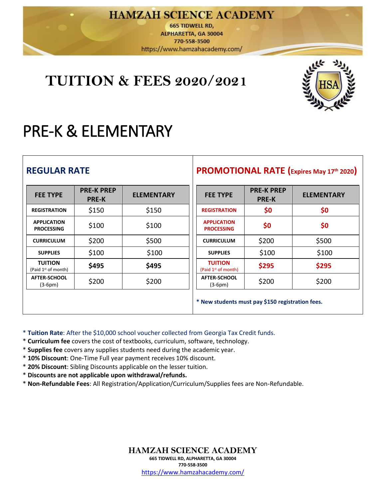### **HAMZAH SCIENCE ACADEMY**

**665 TIDWELL RD,** ALPHARETTA, GA 30004 770-558-3500 https://www.hamzahacademy.com/

## **TUITION & FEES 2020/2021**



# PRE-K & ELEMENTARY

| <b>REGULAR RATE</b>                               |                                   |                   |                                                   |                                                  | <b>PROMOTIONAL RATE (Expires May 17th 2020)</b> |
|---------------------------------------------------|-----------------------------------|-------------------|---------------------------------------------------|--------------------------------------------------|-------------------------------------------------|
| <b>FEE TYPE</b>                                   | <b>PRE-K PREP</b><br><b>PRE-K</b> | <b>ELEMENTARY</b> | <b>FEE TYPE</b>                                   | <b>PRE-K PREP</b><br><b>PRE-K</b>                | <b>ELEMENTARY</b>                               |
| <b>REGISTRATION</b>                               | \$150                             | \$150             | <b>REGISTRATION</b>                               | \$0                                              | \$0                                             |
| <b>APPLICATION</b><br><b>PROCESSING</b>           | \$100                             | \$100             | <b>APPLICATION</b><br><b>PROCESSING</b>           | \$0                                              | \$0                                             |
| <b>CURRICULUM</b>                                 | \$200                             | \$500             | <b>CURRICULUM</b>                                 | \$200                                            | \$500                                           |
| <b>SUPPLIES</b>                                   | \$100                             | \$100             | <b>SUPPLIES</b>                                   | \$100                                            | \$100                                           |
| <b>TUITION</b><br>(Paid 1 <sup>st</sup> of month) | \$495                             | \$495             | <b>TUITION</b><br>(Paid 1 <sup>st</sup> of month) | \$295                                            | \$295                                           |
| <b>AFTER-SCHOOL</b><br>$(3-6pm)$                  | \$200                             | \$200             | <b>AFTER-SCHOOL</b><br>$(3-6pm)$                  | \$200                                            | \$200                                           |
|                                                   |                                   |                   |                                                   | * New students must pay \$150 registration fees. |                                                 |

\* **Tuition Rate**: After the \$10,000 school voucher collected from Georgia Tax Credit funds.

- \* **Curriculum fee** covers the cost of textbooks, curriculum, software, technology.
- \* **Supplies fee** covers any supplies students need during the academic year.
- \* **10% Discount**: One-Time Full year payment receives 10% discount.
- \* **20% Discount**: Sibling Discounts applicable on the lesser tuition.
- \* **Discounts are not applicable upon withdrawal/refunds.**
- \* **Non-Refundable Fees**: All Registration/Application/Curriculum/Supplies fees are Non-Refundable.

**HAMZAH SCIENCE ACADEMY 665 TIDWELL RD, ALPHARETTA, GA 30004 770-558-3500** <https://www.hamzahacademy.com/>